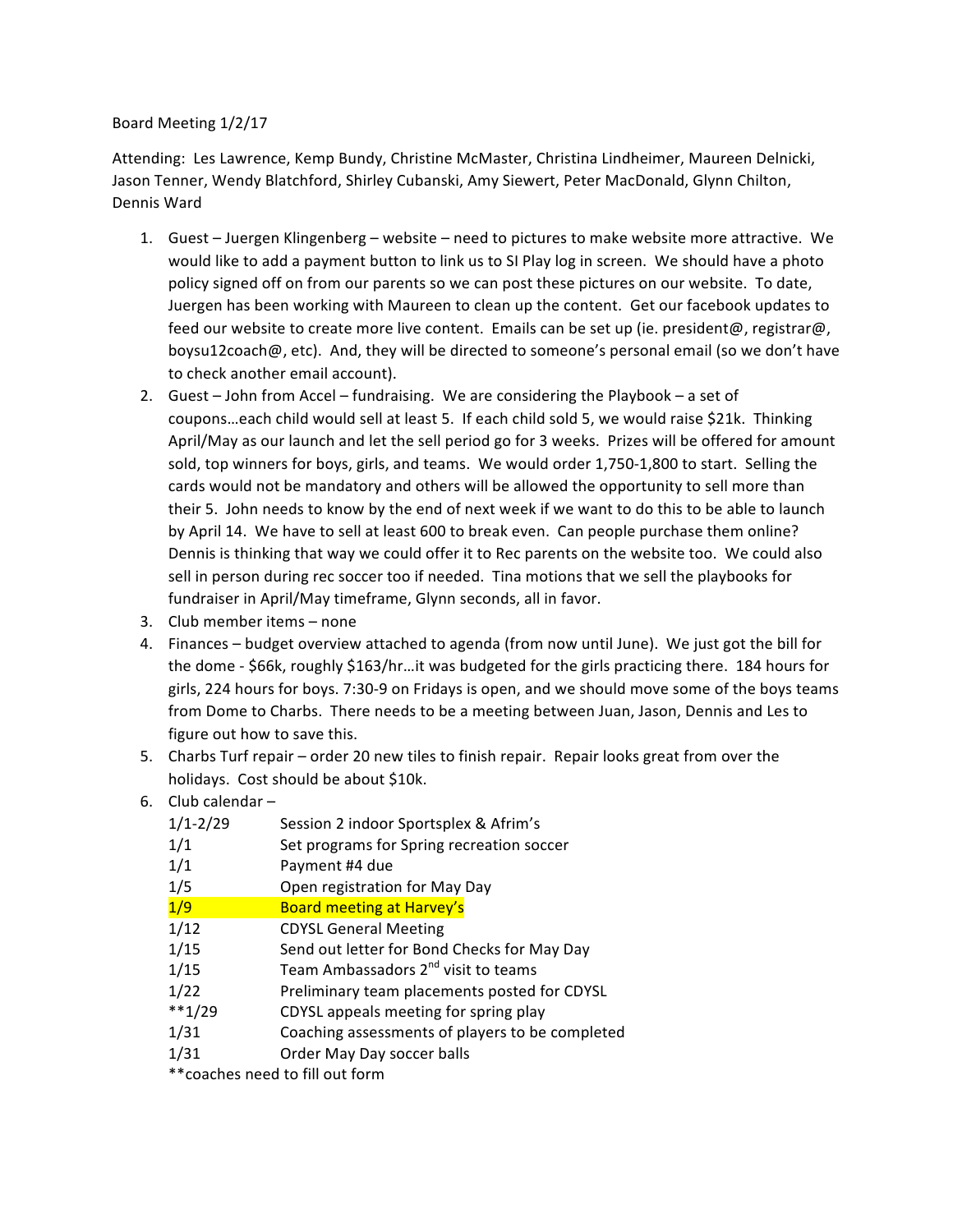## Board Meeting 1/2/17

Attending: Les Lawrence, Kemp Bundy, Christine McMaster, Christina Lindheimer, Maureen Delnicki, Jason Tenner, Wendy Blatchford, Shirley Cubanski, Amy Siewert, Peter MacDonald, Glynn Chilton, Dennis Ward

- 1. Guest Juergen Klingenberg website need to pictures to make website more attractive. We would like to add a payment button to link us to SI Play log in screen. We should have a photo policy signed off on from our parents so we can post these pictures on our website. To date, Juergen has been working with Maureen to clean up the content. Get our facebook updates to feed our website to create more live content. Emails can be set up (ie. president@, registrar@, boysu12coach@, etc). And, they will be directed to someone's personal email (so we don't have to check another email account).
- 2. Guest  $-$  John from Accel  $-$  fundraising. We are considering the Playbook  $-$  a set of coupons...each child would sell at least 5. If each child sold 5, we would raise \$21k. Thinking April/May as our launch and let the sell period go for 3 weeks. Prizes will be offered for amount sold, top winners for boys, girls, and teams. We would order 1,750-1,800 to start. Selling the cards would not be mandatory and others will be allowed the opportunity to sell more than their 5. John needs to know by the end of next week if we want to do this to be able to launch by April 14. We have to sell at least 600 to break even. Can people purchase them online? Dennis is thinking that way we could offer it to Rec parents on the website too. We could also sell in person during rec soccer too if needed. Tina motions that we sell the playbooks for fundraiser in April/May timeframe, Glynn seconds, all in favor.
- 3. Club member items none
- 4. Finances budget overview attached to agenda (from now until June). We just got the bill for the dome - \$66k, roughly \$163/hr...it was budgeted for the girls practicing there. 184 hours for girls, 224 hours for boys. 7:30-9 on Fridays is open, and we should move some of the boys teams from Dome to Charbs. There needs to be a meeting between Juan, Jason, Dennis and Les to figure out how to save this.
- 5. Charbs Turf repair order 20 new tiles to finish repair. Repair looks great from over the holidays. Cost should be about \$10k.
- 6. Club calendar  $-$

| $1/1 - 2/29$ | Session 2 indoor Sportsplex & Afrim's           |
|--------------|-------------------------------------------------|
| 1/1          | Set programs for Spring recreation soccer       |
| 1/1          | Payment #4 due                                  |
| 1/5          | Open registration for May Day                   |
| 1/9          | <b>Board meeting at Harvey's</b>                |
| 1/12         | <b>CDYSL General Meeting</b>                    |
| 1/15         | Send out letter for Bond Checks for May Day     |
| 1/15         | Team Ambassadors 2 <sup>nd</sup> visit to teams |
| 1/22         | Preliminary team placements posted for CDYSL    |
| $**1/29$     | CDYSL appeals meeting for spring play           |
| 1/31         | Coaching assessments of players to be completed |
| 1/31         | Order May Day soccer balls                      |
|              | ** coaches need to fill out form                |